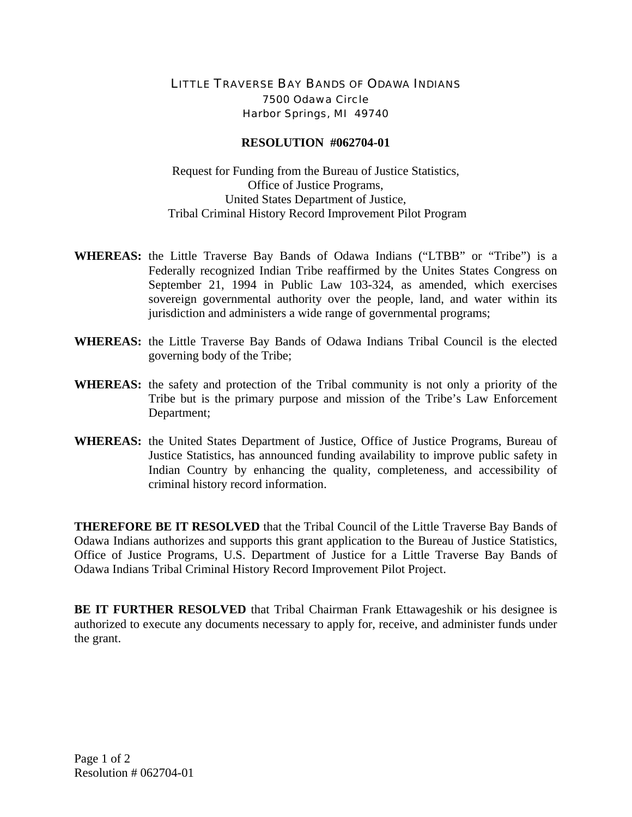## LITTLE TRAVERSE BAY BANDS OF ODAWA INDIANS 7500 Odawa Circle Harbor Springs, MI 49740

## **RESOLUTION #062704-01**

Request for Funding from the Bureau of Justice Statistics, Office of Justice Programs, United States Department of Justice, Tribal Criminal History Record Improvement Pilot Program

- **WHEREAS:** the Little Traverse Bay Bands of Odawa Indians ("LTBB" or "Tribe") is a Federally recognized Indian Tribe reaffirmed by the Unites States Congress on September 21, 1994 in Public Law 103-324, as amended, which exercises sovereign governmental authority over the people, land, and water within its jurisdiction and administers a wide range of governmental programs;
- **WHEREAS:** the Little Traverse Bay Bands of Odawa Indians Tribal Council is the elected governing body of the Tribe;
- **WHEREAS:** the safety and protection of the Tribal community is not only a priority of the Tribe but is the primary purpose and mission of the Tribe's Law Enforcement Department;
- **WHEREAS:** the United States Department of Justice, Office of Justice Programs, Bureau of Justice Statistics, has announced funding availability to improve public safety in Indian Country by enhancing the quality, completeness, and accessibility of criminal history record information.

**THEREFORE BE IT RESOLVED** that the Tribal Council of the Little Traverse Bay Bands of Odawa Indians authorizes and supports this grant application to the Bureau of Justice Statistics, Office of Justice Programs, U.S. Department of Justice for a Little Traverse Bay Bands of Odawa Indians Tribal Criminal History Record Improvement Pilot Project.

**BE IT FURTHER RESOLVED** that Tribal Chairman Frank Ettawageshik or his designee is authorized to execute any documents necessary to apply for, receive, and administer funds under the grant.